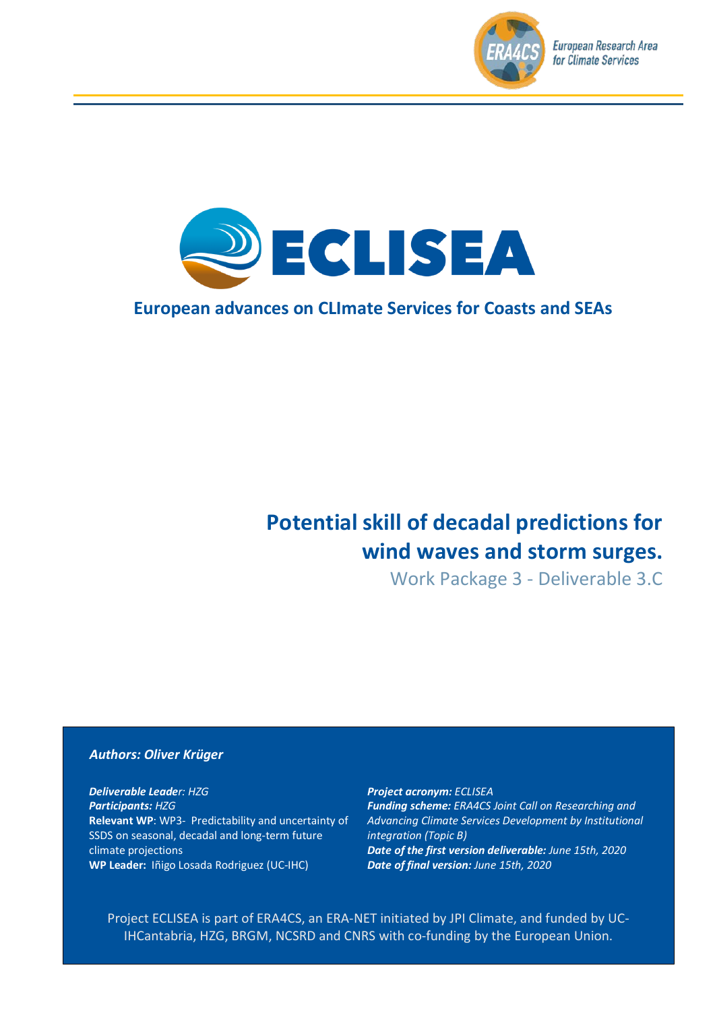



# **European advances on CLImate Services for Coasts and SEAs**

# **Potential skill of decadal predictions for wind waves and storm surges.**

Work Package 3 - Deliverable 3.C

#### *Authors: Oliver Krüger*

*Deliverable Leader: HZG Participants: HZG* **Relevant WP**: WP3- Predictability and uncertainty of SSDS on seasonal, decadal and long-term future climate projections **WP Leader:** Iñigo Losada Rodriguez (UC-IHC)

*Project acronym: ECLISEA Funding scheme: ERA4CS Joint Call on Researching and Advancing Climate Services Development by Institutional integration (Topic B) Date of the first version deliverable: June 15th, 2020 Date of final version: June 15th, 2020*

Project ECLISEA is part of ERA4CS, an ERA-NET initiated by JPI Climate, and funded by UC-IHCantabria, HZG, BRGM, NCSRD and CNRS with co-funding by the European Union.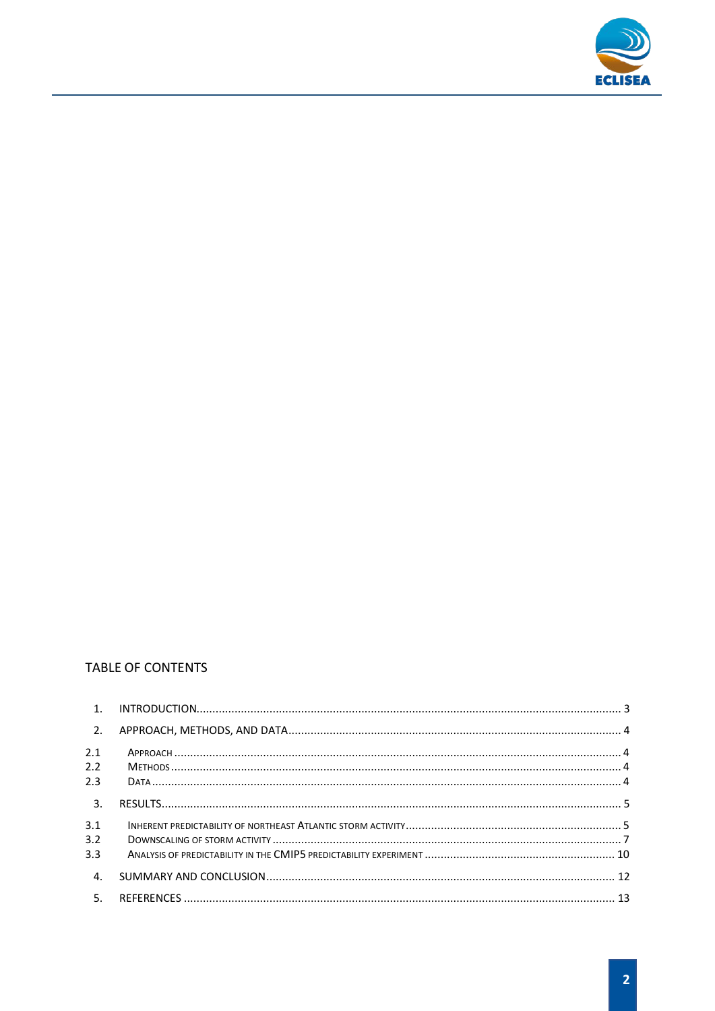

## TABLE OF CONTENTS

| $\overline{2}$ . |  |
|------------------|--|
| 2.1              |  |
| 2.2              |  |
| 2.3              |  |
| 3.               |  |
| 3.1              |  |
| 3.2              |  |
| 3.3              |  |
| 4.               |  |
| -5.              |  |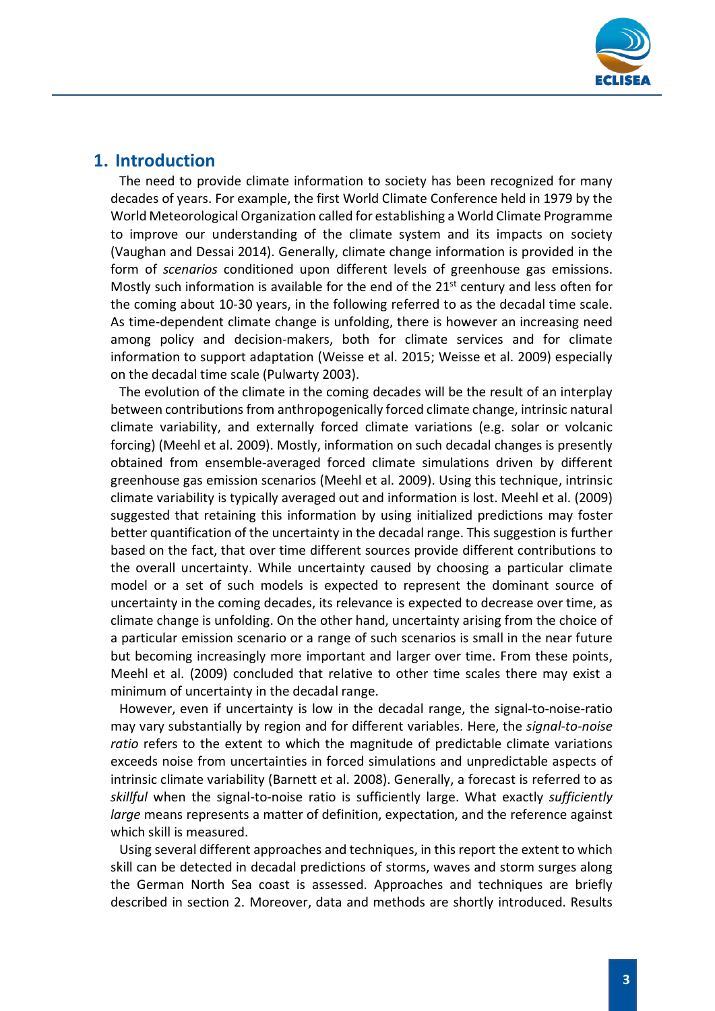

## <span id="page-2-0"></span>**1. Introduction**

The need to provide climate information to society has been recognized for many decades of years. For example, the first World Climate Conference held in 1979 by the World Meteorological Organization called for establishing a World Climate Programme to improve our understanding of the climate system and its impacts on society (Vaughan and Dessai 2014). Generally, climate change information is provided in the form of *scenarios* conditioned upon different levels of greenhouse gas emissions. Mostly such information is available for the end of the  $21<sup>st</sup>$  century and less often for the coming about 10-30 years, in the following referred to as the decadal time scale. As time-dependent climate change is unfolding, there is however an increasing need among policy and decision-makers, both for climate services and for climate information to support adaptation (Weisse et al. 2015; Weisse et al. 2009) especially on the decadal time scale (Pulwarty 2003).

The evolution of the climate in the coming decades will be the result of an interplay between contributions from anthropogenically forced climate change, intrinsic natural climate variability, and externally forced climate variations (e.g. solar or volcanic forcing) (Meehl et al. 2009). Mostly, information on such decadal changes is presently obtained from ensemble-averaged forced climate simulations driven by different greenhouse gas emission scenarios (Meehl et al. 2009). Using this technique, intrinsic climate variability is typically averaged out and information is lost. Meehl et al. (2009) suggested that retaining this information by using initialized predictions may foster better quantification of the uncertainty in the decadal range. This suggestion is further based on the fact, that over time different sources provide different contributions to the overall uncertainty. While uncertainty caused by choosing a particular climate model or a set of such models is expected to represent the dominant source of uncertainty in the coming decades, its relevance is expected to decrease over time, as climate change is unfolding. On the other hand, uncertainty arising from the choice of a particular emission scenario or a range of such scenarios is small in the near future but becoming increasingly more important and larger over time. From these points, Meehl et al. (2009) concluded that relative to other time scales there may exist a minimum of uncertainty in the decadal range.

However, even if uncertainty is low in the decadal range, the signal-to-noise-ratio may vary substantially by region and for different variables. Here, the *signal-to-noise ratio* refers to the extent to which the magnitude of predictable climate variations exceeds noise from uncertainties in forced simulations and unpredictable aspects of intrinsic climate variability (Barnett et al. 2008). Generally, a forecast is referred to as *skillful* when the signal-to-noise ratio is sufficiently large. What exactly *sufficiently large* means represents a matter of definition, expectation, and the reference against which skill is measured.

Using several different approaches and techniques, in this report the extent to which skill can be detected in decadal predictions of storms, waves and storm surges along the German North Sea coast is assessed. Approaches and techniques are briefly described in section 2. Moreover, data and methods are shortly introduced. Results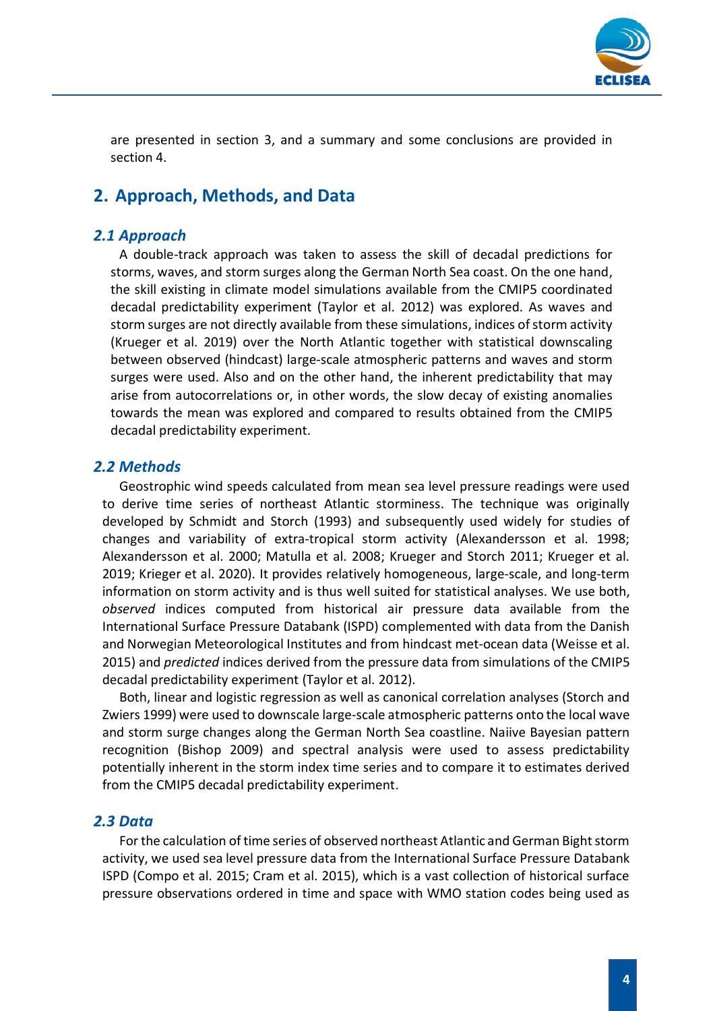

are presented in section 3, and a summary and some conclusions are provided in section 4.

# <span id="page-3-0"></span>**2. Approach, Methods, and Data**

## <span id="page-3-1"></span>*2.1 Approach*

A double-track approach was taken to assess the skill of decadal predictions for storms, waves, and storm surges along the German North Sea coast. On the one hand, the skill existing in climate model simulations available from the CMIP5 coordinated decadal predictability experiment (Taylor et al. 2012) was explored. As waves and storm surges are not directly available from these simulations, indices of storm activity (Krueger et al. 2019) over the North Atlantic together with statistical downscaling between observed (hindcast) large-scale atmospheric patterns and waves and storm surges were used. Also and on the other hand, the inherent predictability that may arise from autocorrelations or, in other words, the slow decay of existing anomalies towards the mean was explored and compared to results obtained from the CMIP5 decadal predictability experiment.

#### <span id="page-3-2"></span>*2.2 Methods*

Geostrophic wind speeds calculated from mean sea level pressure readings were used to derive time series of northeast Atlantic storminess. The technique was originally developed by Schmidt and Storch (1993) and subsequently used widely for studies of changes and variability of extra-tropical storm activity (Alexandersson et al. 1998; Alexandersson et al. 2000; Matulla et al. 2008; Krueger and Storch 2011; Krueger et al. 2019; Krieger et al. 2020). It provides relatively homogeneous, large-scale, and long-term information on storm activity and is thus well suited for statistical analyses. We use both, *observed* indices computed from historical air pressure data available from the International Surface Pressure Databank (ISPD) complemented with data from the Danish and Norwegian Meteorological Institutes and from hindcast met-ocean data (Weisse et al. 2015) and *predicted* indices derived from the pressure data from simulations of the CMIP5 decadal predictability experiment (Taylor et al. 2012).

Both, linear and logistic regression as well as canonical correlation analyses (Storch and Zwiers 1999) were used to downscale large-scale atmospheric patterns onto the local wave and storm surge changes along the German North Sea coastline. Naiive Bayesian pattern recognition (Bishop 2009) and spectral analysis were used to assess predictability potentially inherent in the storm index time series and to compare it to estimates derived from the CMIP5 decadal predictability experiment.

## <span id="page-3-3"></span>*2.3 Data*

For the calculation of time series of observed northeast Atlantic and German Bight storm activity, we used sea level pressure data from the International Surface Pressure Databank ISPD (Compo et al. 2015; Cram et al. 2015), which is a vast collection of historical surface pressure observations ordered in time and space with WMO station codes being used as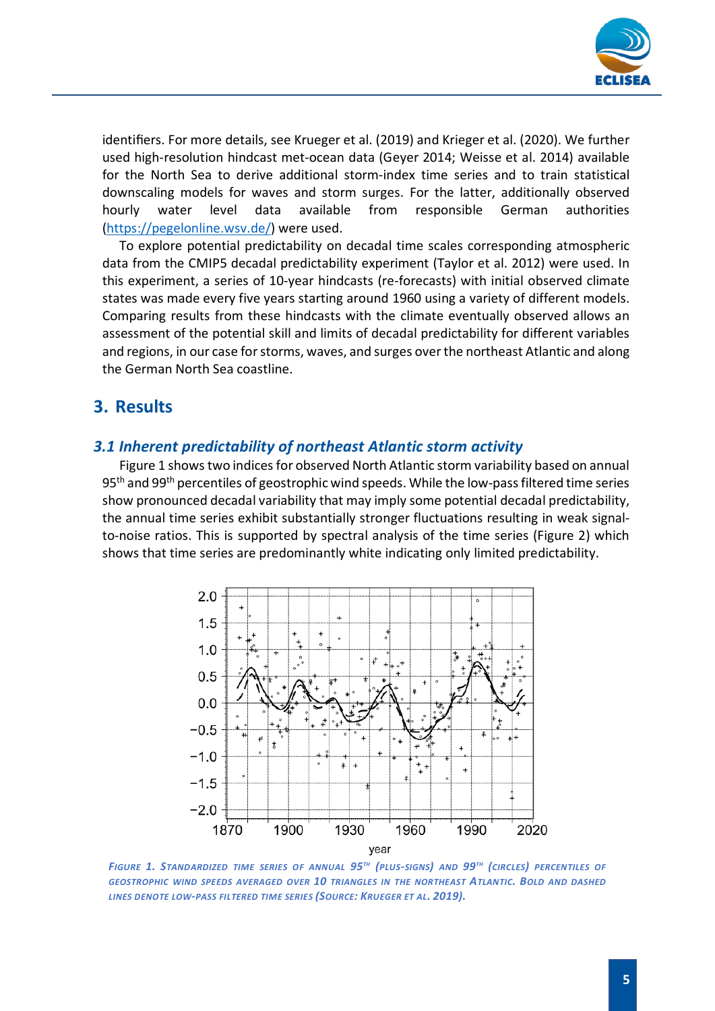

identifiers. For more details, see Krueger et al. (2019) and Krieger et al. (2020). We further used high-resolution hindcast met-ocean data (Geyer 2014; Weisse et al. 2014) available for the North Sea to derive additional storm-index time series and to train statistical downscaling models for waves and storm surges. For the latter, additionally observed hourly water level data available from responsible German authorities [\(https://pegelonline.wsv.de/\)](https://pegelonline.wsv.de/) were used.

To explore potential predictability on decadal time scales corresponding atmospheric data from the CMIP5 decadal predictability experiment (Taylor et al. 2012) were used. In this experiment, a series of 10-year hindcasts (re-forecasts) with initial observed climate states was made every five years starting around 1960 using a variety of different models. Comparing results from these hindcasts with the climate eventually observed allows an assessment of the potential skill and limits of decadal predictability for different variables and regions, in our case for storms, waves, and surges over the northeast Atlantic and along the German North Sea coastline.

# <span id="page-4-0"></span>**3. Results**

## <span id="page-4-1"></span>*3.1 Inherent predictability of northeast Atlantic storm activity*

Figure 1 shows two indices for observed North Atlantic storm variability based on annual 95<sup>th</sup> and 99<sup>th</sup> percentiles of geostrophic wind speeds. While the low-pass filtered time series show pronounced decadal variability that may imply some potential decadal predictability, the annual time series exhibit substantially stronger fluctuations resulting in weak signalto-noise ratios. This is supported by spectral analysis of the time series (Figure 2) which shows that time series are predominantly white indicating only limited predictability.



*FIGURE 1. STANDARDIZED TIME SERIES OF ANNUAL 95TH (PLUS-SIGNS) AND 99TH (CIRCLES) PERCENTILES OF GEOSTROPHIC WIND SPEEDS AVERAGED OVER 10 TRIANGLES IN THE NORTHEAST ATLANTIC. BOLD AND DASHED LINES DENOTE LOW-PASS FILTERED TIME SERIES (SOURCE: KRUEGER ET AL. 2019).*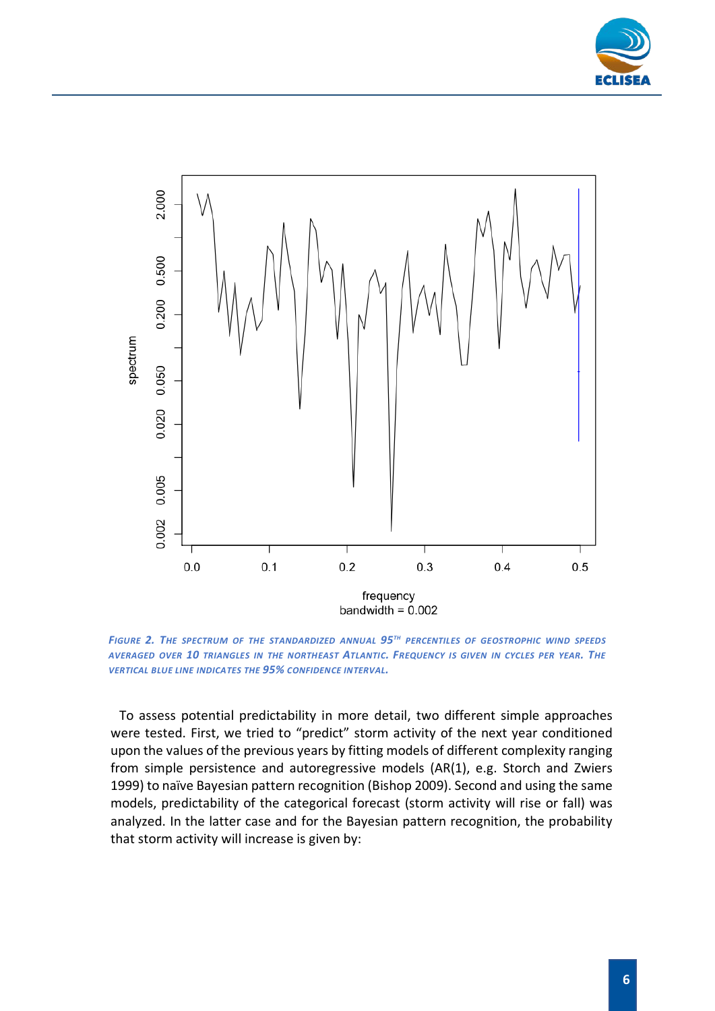



*FIGURE 2. THE SPECTRUM OF THE STANDARDIZED ANNUAL 95TH PERCENTILES OF GEOSTROPHIC WIND SPEEDS AVERAGED OVER 10 TRIANGLES IN THE NORTHEAST ATLANTIC. FREQUENCY IS GIVEN IN CYCLES PER YEAR. THE VERTICAL BLUE LINE INDICATES THE 95% CONFIDENCE INTERVAL.*

To assess potential predictability in more detail, two different simple approaches were tested. First, we tried to "predict" storm activity of the next year conditioned upon the values of the previous years by fitting models of different complexity ranging from simple persistence and autoregressive models (AR(1), e.g. Storch and Zwiers 1999) to naïve Bayesian pattern recognition (Bishop 2009). Second and using the same models, predictability of the categorical forecast (storm activity will rise or fall) was analyzed. In the latter case and for the Bayesian pattern recognition, the probability that storm activity will increase is given by: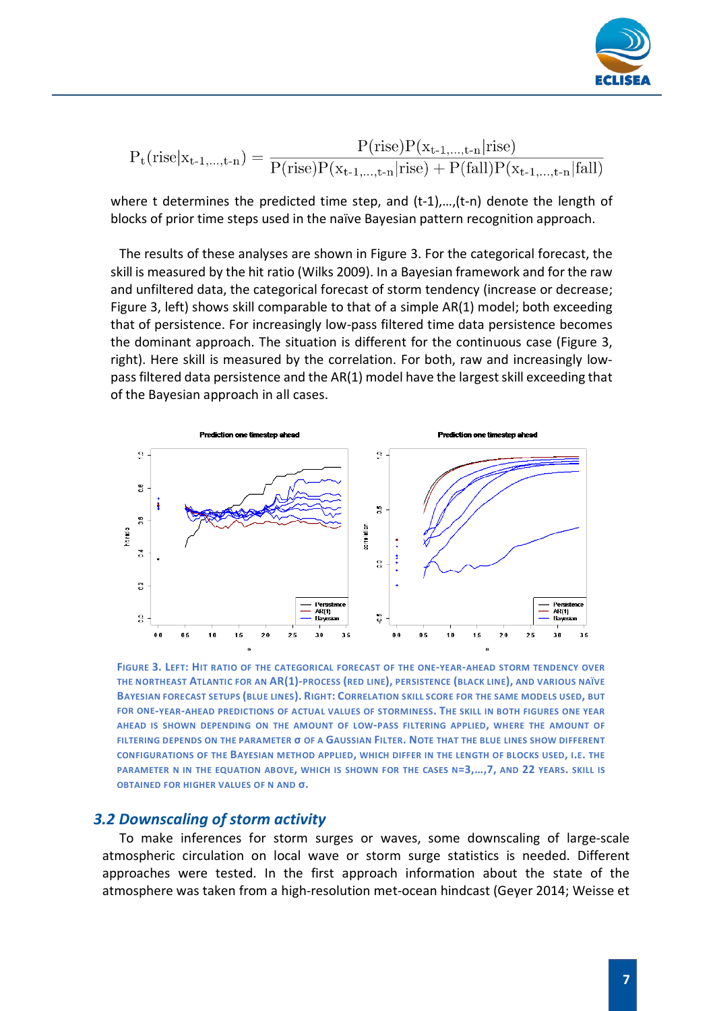

$$
P_t(\text{rise}|x_{t\text{-}1,\dots,t\text{-}n}) = \frac{P(\text{rise})P(x_{t\text{-}1,\dots,t\text{-}n}|\text{rise})}{P(\text{rise})P(x_{t\text{-}1,\dots,t\text{-}n}|\text{rise}) + P(\text{fall})P(x_{t\text{-}1,\dots,t\text{-}n}|\text{fall})}
$$

where t determines the predicted time step, and (t-1),...,(t-n) denote the length of blocks of prior time steps used in the naïve Bayesian pattern recognition approach.

The results of these analyses are shown in Figure 3. For the categorical forecast, the skill is measured by the hit ratio (Wilks 2009). In a Bayesian framework and for the raw and unfiltered data, the categorical forecast of storm tendency (increase or decrease; Figure 3, left) shows skill comparable to that of a simple AR(1) model; both exceeding that of persistence. For increasingly low-pass filtered time data persistence becomes the dominant approach. The situation is different for the continuous case (Figure 3, right). Here skill is measured by the correlation. For both, raw and increasingly lowpass filtered data persistence and the AR(1) model have the largest skill exceeding that of the Bayesian approach in all cases.



**FIGURE 3. LEFT: HIT RATIO OF THE CATEGORICAL FORECAST OF THE ONE-YEAR-AHEAD STORM TENDENCY OVER THE NORTHEAST ATLANTIC FOR AN AR(1)-PROCESS (RED LINE), PERSISTENCE (BLACK LINE), AND VARIOUS NAÏVE BAYESIAN FORECAST SETUPS (BLUE LINES). RIGHT: CORRELATION SKILL SCORE FOR THE SAME MODELS USED, BUT FOR ONE-YEAR-AHEAD PREDICTIONS OF ACTUAL VALUES OF STORMINESS. THE SKILL IN BOTH FIGURES ONE YEAR AHEAD IS SHOWN DEPENDING ON THE AMOUNT OF LOW-PASS FILTERING APPLIED, WHERE THE AMOUNT OF FILTERING DEPENDS ON THE PARAMETER σ OF A GAUSSIAN FILTER. NOTE THAT THE BLUE LINES SHOW DIFFERENT CONFIGURATIONS OF THE BAYESIAN METHOD APPLIED, WHICH DIFFER IN THE LENGTH OF BLOCKS USED, I.E. THE PARAMETER N IN THE EQUATION ABOVE, WHICH IS SHOWN FOR THE CASES N=3,…,7, AND 22 YEARS. SKILL IS OBTAINED FOR HIGHER VALUES OF N AND σ.**

#### <span id="page-6-0"></span>*3.2 Downscaling of storm activity*

To make inferences for storm surges or waves, some downscaling of large-scale atmospheric circulation on local wave or storm surge statistics is needed. Different approaches were tested. In the first approach information about the state of the atmosphere was taken from a high-resolution met-ocean hindcast (Geyer 2014; Weisse et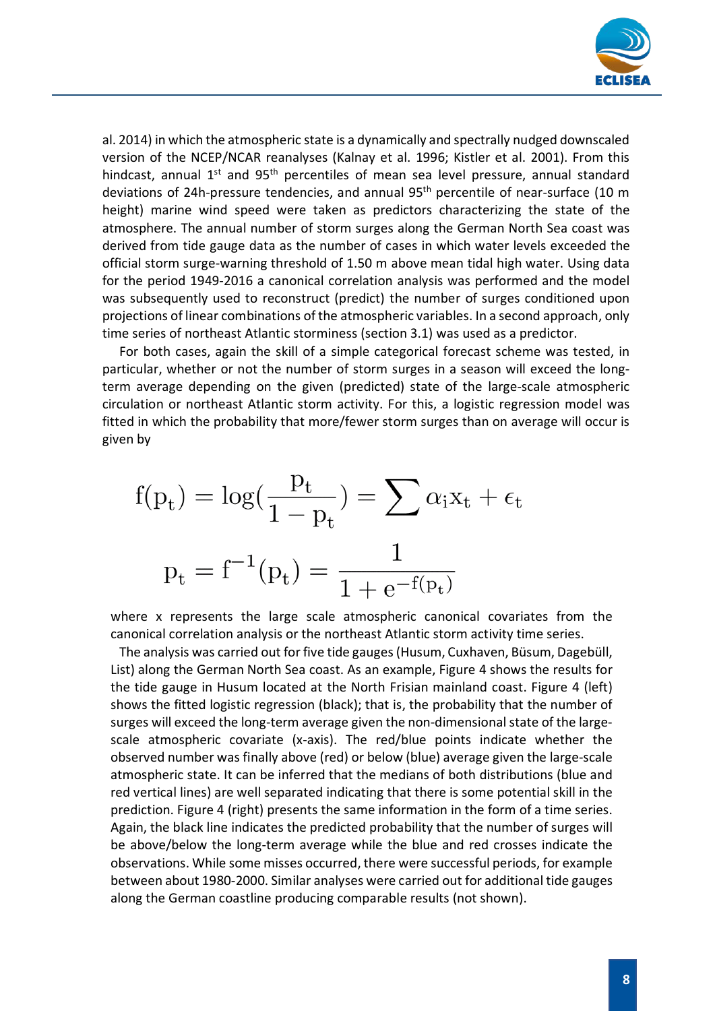

al. 2014) in which the atmospheric state is a dynamically and spectrally nudged downscaled version of the NCEP/NCAR reanalyses (Kalnay et al. 1996; Kistler et al. 2001). From this hindcast, annual  $1<sup>st</sup>$  and  $95<sup>th</sup>$  percentiles of mean sea level pressure, annual standard deviations of 24h-pressure tendencies, and annual 95<sup>th</sup> percentile of near-surface (10 m height) marine wind speed were taken as predictors characterizing the state of the atmosphere. The annual number of storm surges along the German North Sea coast was derived from tide gauge data as the number of cases in which water levels exceeded the official storm surge-warning threshold of 1.50 m above mean tidal high water. Using data for the period 1949-2016 a canonical correlation analysis was performed and the model was subsequently used to reconstruct (predict) the number of surges conditioned upon projections of linear combinations of the atmospheric variables. In a second approach, only time series of northeast Atlantic storminess (section 3.1) was used as a predictor.

For both cases, again the skill of a simple categorical forecast scheme was tested, in particular, whether or not the number of storm surges in a season will exceed the longterm average depending on the given (predicted) state of the large-scale atmospheric circulation or northeast Atlantic storm activity. For this, a logistic regression model was fitted in which the probability that more/fewer storm surges than on average will occur is given by

$$
f(p_t) = \log(\frac{p_t}{1 - p_t}) = \sum \alpha_i x_t + \epsilon_t
$$

$$
p_t = f^{-1}(p_t) = \frac{1}{1 + e^{-f(p_t)}}
$$

where x represents the large scale atmospheric canonical covariates from the canonical correlation analysis or the northeast Atlantic storm activity time series.

The analysis was carried out for five tide gauges (Husum, Cuxhaven, Büsum, Dagebüll, List) along the German North Sea coast. As an example, Figure 4 shows the results for the tide gauge in Husum located at the North Frisian mainland coast. Figure 4 (left) shows the fitted logistic regression (black); that is, the probability that the number of surges will exceed the long-term average given the non-dimensional state of the largescale atmospheric covariate (x-axis). The red/blue points indicate whether the observed number was finally above (red) or below (blue) average given the large-scale atmospheric state. It can be inferred that the medians of both distributions (blue and red vertical lines) are well separated indicating that there is some potential skill in the prediction. Figure 4 (right) presents the same information in the form of a time series. Again, the black line indicates the predicted probability that the number of surges will be above/below the long-term average while the blue and red crosses indicate the observations. While some misses occurred, there were successful periods, for example between about 1980-2000. Similar analyses were carried out for additional tide gauges along the German coastline producing comparable results (not shown).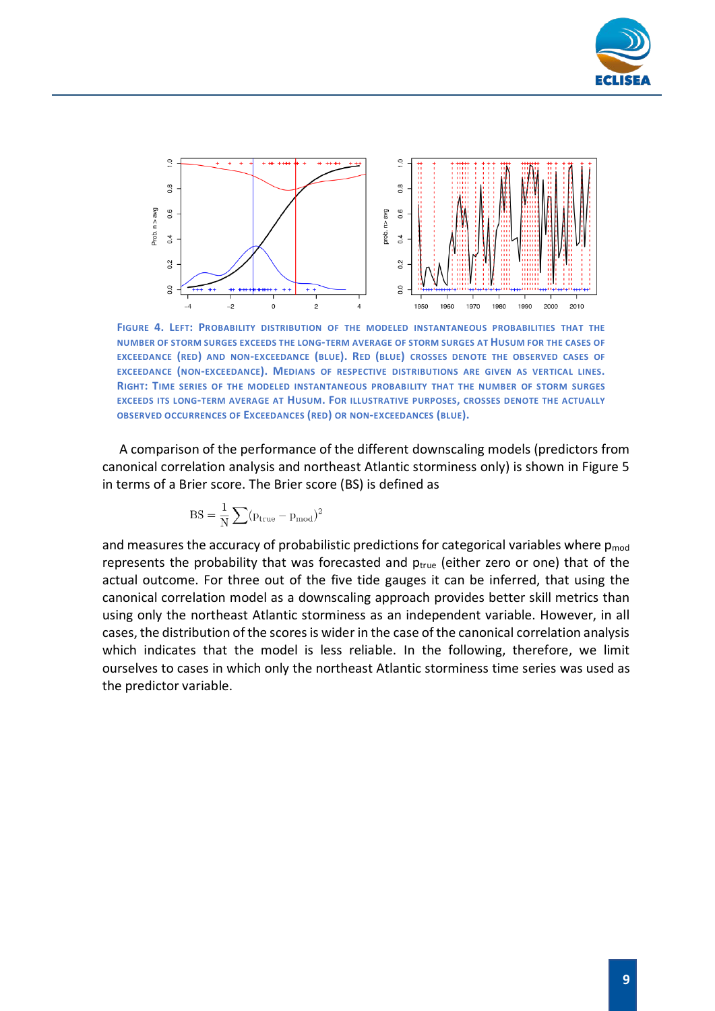



**FIGURE 4. LEFT: PROBABILITY DISTRIBUTION OF THE MODELED INSTANTANEOUS PROBABILITIES THAT THE NUMBER OF STORM SURGES EXCEEDS THE LONG-TERM AVERAGE OF STORM SURGES AT HUSUM FOR THE CASES OF EXCEEDANCE (RED) AND NON-EXCEEDANCE (BLUE). RED (BLUE) CROSSES DENOTE THE OBSERVED CASES OF EXCEEDANCE (NON-EXCEEDANCE). MEDIANS OF RESPECTIVE DISTRIBUTIONS ARE GIVEN AS VERTICAL LINES. RIGHT: TIME SERIES OF THE MODELED INSTANTANEOUS PROBABILITY THAT THE NUMBER OF STORM SURGES EXCEEDS ITS LONG-TERM AVERAGE AT HUSUM. FOR ILLUSTRATIVE PURPOSES, CROSSES DENOTE THE ACTUALLY OBSERVED OCCURRENCES OF EXCEEDANCES (RED) OR NON-EXCEEDANCES (BLUE).**

A comparison of the performance of the different downscaling models (predictors from canonical correlation analysis and northeast Atlantic storminess only) is shown in Figure 5 in terms of a Brier score. The Brier score (BS) is defined as

$$
BS = \frac{1}{N} \sum (p_{true} - p_{mod})^2
$$

and measures the accuracy of probabilistic predictions for categorical variables where  $p_{mod}$ represents the probability that was forecasted and  $p_{true}$  (either zero or one) that of the actual outcome. For three out of the five tide gauges it can be inferred, that using the canonical correlation model as a downscaling approach provides better skill metrics than using only the northeast Atlantic storminess as an independent variable. However, in all cases, the distribution of the scores is wider in the case of the canonical correlation analysis which indicates that the model is less reliable. In the following, therefore, we limit ourselves to cases in which only the northeast Atlantic storminess time series was used as the predictor variable.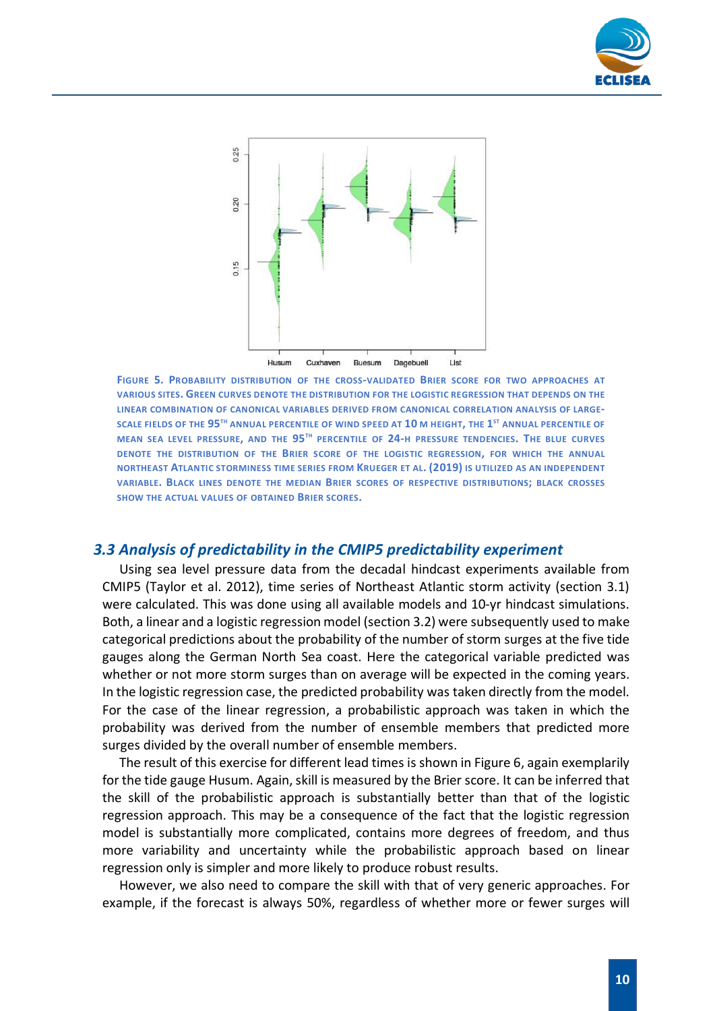



**FIGURE 5. PROBABILITY DISTRIBUTION OF THE CROSS-VALIDATED BRIER SCORE FOR TWO APPROACHES AT VARIOUS SITES. GREEN CURVES DENOTE THE DISTRIBUTION FOR THE LOGISTIC REGRESSION THAT DEPENDS ON THE LINEAR COMBINATION OF CANONICAL VARIABLES DERIVED FROM CANONICAL CORRELATION ANALYSIS OF LARGE-SCALE FIELDS OF THE 95TH ANNUAL PERCENTILE OF WIND SPEED AT 10 M HEIGHT, THE 1ST ANNUAL PERCENTILE OF MEAN SEA LEVEL PRESSURE, AND THE 95TH PERCENTILE OF 24-H PRESSURE TENDENCIES. THE BLUE CURVES DENOTE THE DISTRIBUTION OF THE BRIER SCORE OF THE LOGISTIC REGRESSION, FOR WHICH THE ANNUAL NORTHEAST ATLANTIC STORMINESS TIME SERIES FROM KRUEGER ET AL. (2019) IS UTILIZED AS AN INDEPENDENT VARIABLE. BLACK LINES DENOTE THE MEDIAN BRIER SCORES OF RESPECTIVE DISTRIBUTIONS; BLACK CROSSES SHOW THE ACTUAL VALUES OF OBTAINED BRIER SCORES.** 

#### <span id="page-9-0"></span>*3.3 Analysis of predictability in the CMIP5 predictability experiment*

Using sea level pressure data from the decadal hindcast experiments available from CMIP5 (Taylor et al. 2012), time series of Northeast Atlantic storm activity (section 3.1) were calculated. This was done using all available models and 10-yr hindcast simulations. Both, a linear and a logistic regression model (section 3.2) were subsequently used to make categorical predictions about the probability of the number of storm surges at the five tide gauges along the German North Sea coast. Here the categorical variable predicted was whether or not more storm surges than on average will be expected in the coming years. In the logistic regression case, the predicted probability was taken directly from the model. For the case of the linear regression, a probabilistic approach was taken in which the probability was derived from the number of ensemble members that predicted more surges divided by the overall number of ensemble members.

The result of this exercise for different lead times is shown in Figure 6, again exemplarily for the tide gauge Husum. Again, skill is measured by the Brier score. It can be inferred that the skill of the probabilistic approach is substantially better than that of the logistic regression approach. This may be a consequence of the fact that the logistic regression model is substantially more complicated, contains more degrees of freedom, and thus more variability and uncertainty while the probabilistic approach based on linear regression only is simpler and more likely to produce robust results.

However, we also need to compare the skill with that of very generic approaches. For example, if the forecast is always 50%, regardless of whether more or fewer surges will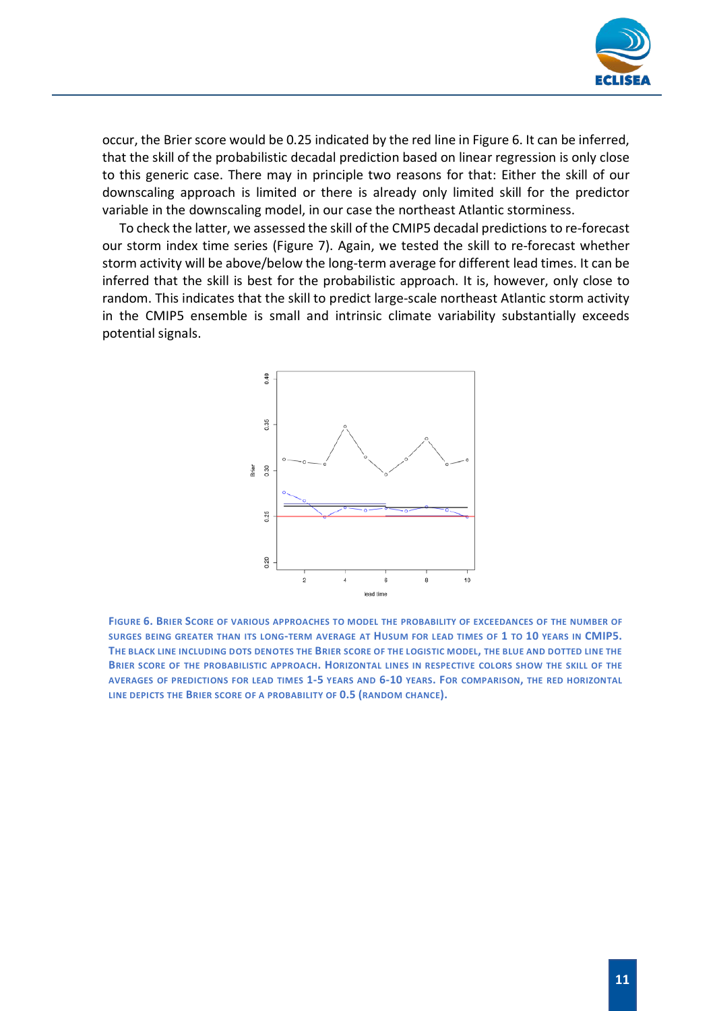

occur, the Brier score would be 0.25 indicated by the red line in Figure 6. It can be inferred, that the skill of the probabilistic decadal prediction based on linear regression is only close to this generic case. There may in principle two reasons for that: Either the skill of our downscaling approach is limited or there is already only limited skill for the predictor variable in the downscaling model, in our case the northeast Atlantic storminess.

To check the latter, we assessed the skill of the CMIP5 decadal predictions to re-forecast our storm index time series (Figure 7). Again, we tested the skill to re-forecast whether storm activity will be above/below the long-term average for different lead times. It can be inferred that the skill is best for the probabilistic approach. It is, however, only close to random. This indicates that the skill to predict large-scale northeast Atlantic storm activity in the CMIP5 ensemble is small and intrinsic climate variability substantially exceeds potential signals.



**FIGURE 6. BRIER SCORE OF VARIOUS APPROACHES TO MODEL THE PROBABILITY OF EXCEEDANCES OF THE NUMBER OF SURGES BEING GREATER THAN ITS LONG-TERM AVERAGE AT HUSUM FOR LEAD TIMES OF 1 TO 10 YEARS IN CMIP5. THE BLACK LINE INCLUDING DOTS DENOTES THE BRIER SCORE OF THE LOGISTIC MODEL, THE BLUE AND DOTTED LINE THE BRIER SCORE OF THE PROBABILISTIC APPROACH. HORIZONTAL LINES IN RESPECTIVE COLORS SHOW THE SKILL OF THE AVERAGES OF PREDICTIONS FOR LEAD TIMES 1-5 YEARS AND 6-10 YEARS. FOR COMPARISON, THE RED HORIZONTAL LINE DEPICTS THE BRIER SCORE OF A PROBABILITY OF 0.5 (RANDOM CHANCE).**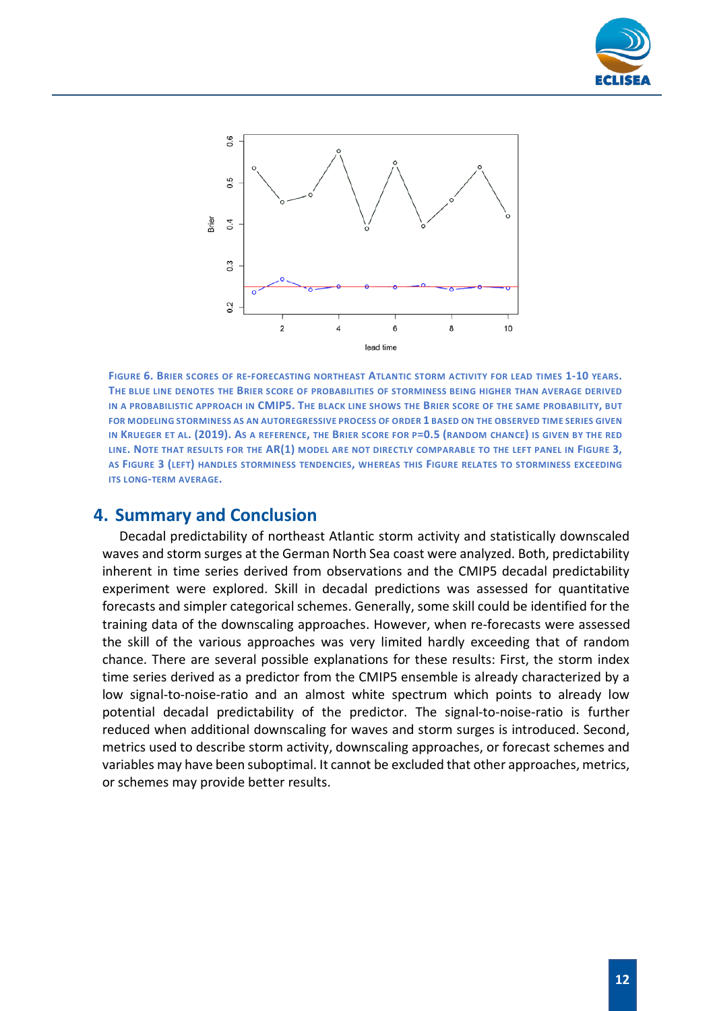



**FIGURE 6. BRIER SCORES OF RE-FORECASTING NORTHEAST ATLANTIC STORM ACTIVITY FOR LEAD TIMES 1-10 YEARS. THE BLUE LINE DENOTES THE BRIER SCORE OF PROBABILITIES OF STORMINESS BEING HIGHER THAN AVERAGE DERIVED IN A PROBABILISTIC APPROACH IN CMIP5. THE BLACK LINE SHOWS THE BRIER SCORE OF THE SAME PROBABILITY, BUT FOR MODELING STORMINESS AS AN AUTOREGRESSIVE PROCESS OF ORDER 1 BASED ON THE OBSERVED TIME SERIES GIVEN IN KRUEGER ET AL. (2019). AS A REFERENCE, THE BRIER SCORE FOR P=0.5 (RANDOM CHANCE) IS GIVEN BY THE RED LINE. NOTE THAT RESULTS FOR THE AR(1) MODEL ARE NOT DIRECTLY COMPARABLE TO THE LEFT PANEL IN FIGURE 3, AS FIGURE 3 (LEFT) HANDLES STORMINESS TENDENCIES, WHEREAS THIS FIGURE RELATES TO STORMINESS EXCEEDING ITS LONG-TERM AVERAGE.** 

## <span id="page-11-0"></span>**4. Summary and Conclusion**

Decadal predictability of northeast Atlantic storm activity and statistically downscaled waves and storm surges at the German North Sea coast were analyzed. Both, predictability inherent in time series derived from observations and the CMIP5 decadal predictability experiment were explored. Skill in decadal predictions was assessed for quantitative forecasts and simpler categorical schemes. Generally, some skill could be identified for the training data of the downscaling approaches. However, when re-forecasts were assessed the skill of the various approaches was very limited hardly exceeding that of random chance. There are several possible explanations for these results: First, the storm index time series derived as a predictor from the CMIP5 ensemble is already characterized by a low signal-to-noise-ratio and an almost white spectrum which points to already low potential decadal predictability of the predictor. The signal-to-noise-ratio is further reduced when additional downscaling for waves and storm surges is introduced. Second, metrics used to describe storm activity, downscaling approaches, or forecast schemes and variables may have been suboptimal. It cannot be excluded that other approaches, metrics, or schemes may provide better results.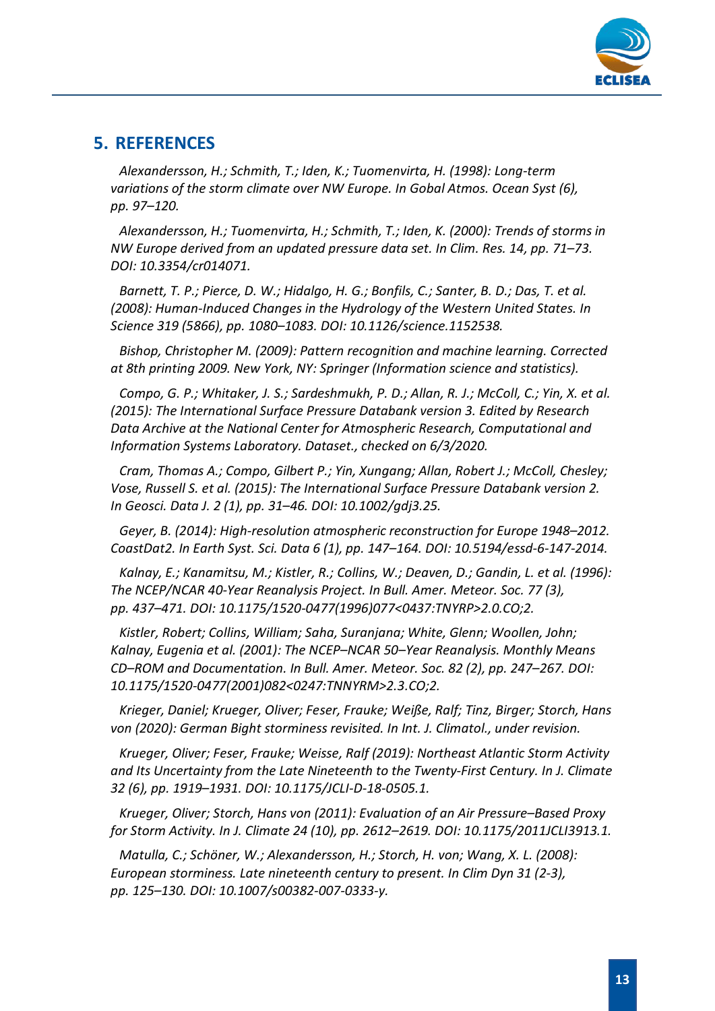

## <span id="page-12-0"></span>**5. REFERENCES**

*Alexandersson, H.; Schmith, T.; Iden, K.; Tuomenvirta, H. (1998): Long-term variations of the storm climate over NW Europe. In Gobal Atmos. Ocean Syst (6), pp. 97–120.*

*Alexandersson, H.; Tuomenvirta, H.; Schmith, T.; Iden, K. (2000): Trends of storms in NW Europe derived from an updated pressure data set. In Clim. Res. 14, pp. 71–73. DOI: 10.3354/cr014071.*

*Barnett, T. P.; Pierce, D. W.; Hidalgo, H. G.; Bonfils, C.; Santer, B. D.; Das, T. et al. (2008): Human-Induced Changes in the Hydrology of the Western United States. In Science 319 (5866), pp. 1080–1083. DOI: 10.1126/science.1152538.*

*Bishop, Christopher M. (2009): Pattern recognition and machine learning. Corrected at 8th printing 2009. New York, NY: Springer (Information science and statistics).*

*Compo, G. P.; Whitaker, J. S.; Sardeshmukh, P. D.; Allan, R. J.; McColl, C.; Yin, X. et al. (2015): The International Surface Pressure Databank version 3. Edited by Research Data Archive at the National Center for Atmospheric Research, Computational and Information Systems Laboratory. Dataset., checked on 6/3/2020.*

*Cram, Thomas A.; Compo, Gilbert P.; Yin, Xungang; Allan, Robert J.; McColl, Chesley; Vose, Russell S. et al. (2015): The International Surface Pressure Databank version 2. In Geosci. Data J. 2 (1), pp. 31–46. DOI: 10.1002/gdj3.25.*

*Geyer, B. (2014): High-resolution atmospheric reconstruction for Europe 1948–2012. CoastDat2. In Earth Syst. Sci. Data 6 (1), pp. 147–164. DOI: 10.5194/essd-6-147-2014.*

*Kalnay, E.; Kanamitsu, M.; Kistler, R.; Collins, W.; Deaven, D.; Gandin, L. et al. (1996): The NCEP/NCAR 40-Year Reanalysis Project. In Bull. Amer. Meteor. Soc. 77 (3), pp. 437–471. DOI: 10.1175/1520-0477(1996)077<0437:TNYRP>2.0.CO;2.*

*Kistler, Robert; Collins, William; Saha, Suranjana; White, Glenn; Woollen, John; Kalnay, Eugenia et al. (2001): The NCEP–NCAR 50–Year Reanalysis. Monthly Means CD–ROM and Documentation. In Bull. Amer. Meteor. Soc. 82 (2), pp. 247–267. DOI: 10.1175/1520-0477(2001)082<0247:TNNYRM>2.3.CO;2.*

*Krieger, Daniel; Krueger, Oliver; Feser, Frauke; Weiße, Ralf; Tinz, Birger; Storch, Hans von (2020): German Bight storminess revisited. In Int. J. Climatol., under revision.*

*Krueger, Oliver; Feser, Frauke; Weisse, Ralf (2019): Northeast Atlantic Storm Activity and Its Uncertainty from the Late Nineteenth to the Twenty-First Century. In J. Climate 32 (6), pp. 1919–1931. DOI: 10.1175/JCLI-D-18-0505.1.*

*Krueger, Oliver; Storch, Hans von (2011): Evaluation of an Air Pressure–Based Proxy for Storm Activity. In J. Climate 24 (10), pp. 2612–2619. DOI: 10.1175/2011JCLI3913.1.*

*Matulla, C.; Schöner, W.; Alexandersson, H.; Storch, H. von; Wang, X. L. (2008): European storminess. Late nineteenth century to present. In Clim Dyn 31 (2-3), pp. 125–130. DOI: 10.1007/s00382-007-0333-y.*